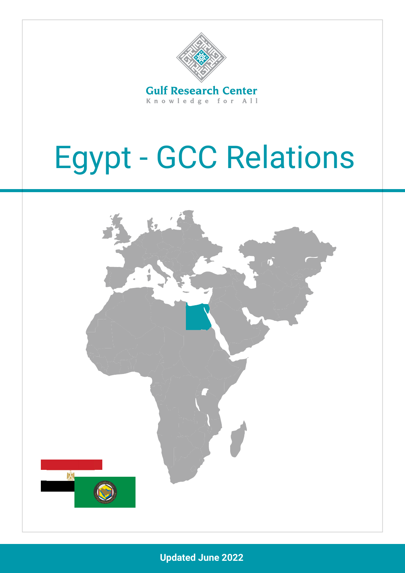

Knowledge for All

# Egypt - GCC Relations



**Updated June 2022**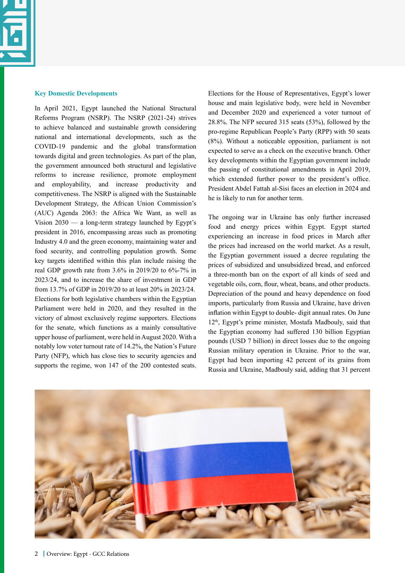

#### **Key Domestic Developments**

In April 2021, Egypt launched the [National Structural](https://www.oecd-ilibrary.org/docserver/3418e76a-en.pdf?expires=1652095281&id=id&accname=guest&checksum=7AC42776B401C847609060E08CD1E17A)  [Reforms Program \(NSRP\)](https://www.oecd-ilibrary.org/docserver/3418e76a-en.pdf?expires=1652095281&id=id&accname=guest&checksum=7AC42776B401C847609060E08CD1E17A). The NSRP (2021-24) strives to achieve balanced and sustainable growth considering national and international developments, such as the COVID-19 pandemic and the global transformation towards digital and green technologies. As part of the plan, the government announced both structural and legislative reforms to increase resilience, promote employment and employability, and increase productivity and competitiveness. The NSRP is aligned with the [Sustainable](https://www.oecd-ilibrary.org/docserver/3418e76a-en.pdf?expires=1652095281&id=id&accname=guest&checksum=7AC42776B401C847609060E08CD1E17A)  [Development Strategy](https://www.oecd-ilibrary.org/docserver/3418e76a-en.pdf?expires=1652095281&id=id&accname=guest&checksum=7AC42776B401C847609060E08CD1E17A), the African Union Commission's (AUC) Agenda 2063: the Africa We Want, as well as Vision 2030 — a long-term strategy launched by Egypt's president in 2016, encompassing areas such as promoting Industry 4.0 and the green economy, maintaining water and food security, and controlling population growth. Some key targets identified within this plan include raising the real GDP growth rate from 3.6% in 2019/20 to 6%-7% in 2023/24, and to increase the share of investment in GDP from 13.7% of GDP in 2019/20 to at least 20% in 2023/24. [Elections for both legislative chambers within the Egyptian](https://bti-project.org/en/reports/country-report/EGY)  [Parliament were held in 2020, and they resulted in the](https://bti-project.org/en/reports/country-report/EGY)  [victory of almost exclusively regime supporters.](https://bti-project.org/en/reports/country-report/EGY) Elections for the senate, which functions as a mainly consultative upper house of parliament, were held in August 2020. With a notably low voter turnout rate of 14.2%, the Nation's Future Party (NFP), which has close ties to security agencies and supports the regime, won 147 of the 200 contested seats. Elections for the House of Representatives, Egypt's lower house and main legislative body, were held in November and December 2020 and experienced a voter turnout of 28.8%. [The NFP secured 315 seats \(53%\), followed by the](https://bti-project.org/en/reports/country-report/EGY) [pro-regime Republican People's Party \(RPP\) with 50 seats](https://bti-project.org/en/reports/country-report/EGY) [\(8%\)](https://bti-project.org/en/reports/country-report/EGY). Without a noticeable opposition, [parliament is not](https://bti-project.org/en/reports/country-report/EGY) [expected to serve as a check on the executive branch. Other](https://bti-project.org/en/reports/country-report/EGY) [key developments within the Egyptian government include](https://bti-project.org/en/reports/country-report/EGY) [the passing of constitutional amendments in April 2019,](https://bti-project.org/en/reports/country-report/EGY) [which extended further power to the president's office.](https://bti-project.org/en/reports/country-report/EGY) [President Abdel Fattah al-Sisi faces an election in 2024 and](https://bti-project.org/en/reports/country-report/EGY) [he is likely to run for another term.](https://bti-project.org/en/reports/country-report/EGY) 

The ongoing war in Ukraine has only further increased food and energy prices within Egypt. Egypt started experiencing an increase in food prices in March after the prices had increased on the world market. As a result, the Egyptian government issued a decree regulating the prices of subsidized and unsubsidized bread, and enforced a three-month ban on the export of all kinds of seed and vegetable oils, corn, flour, wheat, beans, and other products. [Depreciation of the pound and heavy dependence on food](https://www.worldbank.org/en/news/press-release/2022/06/07/stagflation-risk-rises-amid-sharp-slowdown-in-growth-energy-markets) [imports, particularly from Russia and Ukraine, have driven](https://www.worldbank.org/en/news/press-release/2022/06/07/stagflation-risk-rises-amid-sharp-slowdown-in-growth-energy-markets) [inflation within Egypt to double- digit annual rates](https://www.worldbank.org/en/news/press-release/2022/06/07/stagflation-risk-rises-amid-sharp-slowdown-in-growth-energy-markets). On June 12<sup>th</sup>, Egypt's prime minister, Mostafa Madbouly, said that the Egyptian economy had suffered 130 billion Egyptian pounds (USD 7 billion) in direct losses due to the ongoing Russian military operation in Ukraine. Prior to the war, Egypt had been importing 42 percent of its grains from Russia and Ukraine, Madbouly said, adding that 31 percent

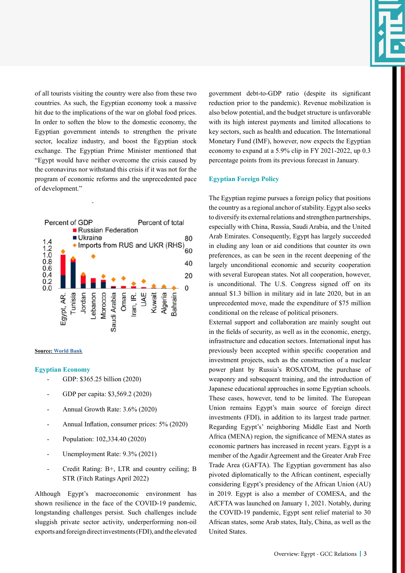of all tourists visiting the country were also from these two countries. As such, the Egyptian economy took a massive hit due to the implications of the war on global food prices[.](https://www.hindustantimes.com/business/egypts-economy-loses-usd-7-billion-due-to-russia-ukraine-war-101652637031345.html) [In order to soften the blow to the domestic economy, the](https://www.hindustantimes.com/business/egypts-economy-loses-usd-7-billion-due-to-russia-ukraine-war-101652637031345.html) [Egyptian government intends to strengthen the private](https://www.hindustantimes.com/business/egypts-economy-loses-usd-7-billion-due-to-russia-ukraine-war-101652637031345.html) [sector, localize industry, and boost the Egyptian stock](https://www.hindustantimes.com/business/egypts-economy-loses-usd-7-billion-due-to-russia-ukraine-war-101652637031345.html) [exchange.](https://www.hindustantimes.com/business/egypts-economy-loses-usd-7-billion-due-to-russia-ukraine-war-101652637031345.html) [The Egyptian Prime Minister mentioned that](https://www.hindustantimes.com/business/egypts-economy-loses-usd-7-billion-due-to-russia-ukraine-war-101652637031345.html) ["Egypt would have neither overcome the crisis caused by](https://www.hindustantimes.com/business/egypts-economy-loses-usd-7-billion-due-to-russia-ukraine-war-101652637031345.html) [the coronavirus nor withstand this crisis if it was not for the](https://www.hindustantimes.com/business/egypts-economy-loses-usd-7-billion-due-to-russia-ukraine-war-101652637031345.html) [program of economic reforms and the unprecedented pace](https://www.hindustantimes.com/business/egypts-economy-loses-usd-7-billion-due-to-russia-ukraine-war-101652637031345.html) [of development."](https://www.hindustantimes.com/business/egypts-economy-loses-usd-7-billion-due-to-russia-ukraine-war-101652637031345.html)



#### **Source: [World Bank](https://www.worldbank.org/en/news/press-release/2022/06/07/stagflation-risk-rises-amid-sharp-slowdown-in-growth-energy-markets)**

## **Egyptian Economy**

- GDP: [\\$365.25 billion \(2020\)](https://data.worldbank.org/indicator/NY.GDP.MKTP.CD?locations=EG)
- GDP per capita: [\\$3,569.2 \(2020\)](https://data.worldbank.org/indicator/NY.GDP.PCAP.CD?locations=EG)
- Annual Growth Rate: [3.6% \(2020\)](https://data.worldbank.org/indicator/NY.GDP.MKTP.KD.ZG?locations=EG)
- Annual Inflation, consumer prices: [5% \(2020\)](https://data.worldbank.org/indicator/FP.CPI.TOTL.ZG?locations=EG)
- Population: 102,334.40 (2020)
- Unemployment Rate: [9.3% \(2021\)](https://data.worldbank.org/indicator/SL.UEM.TOTL.ZS?locations=EG)
- Credit Rating: B+, LTR and country ceiling; B STR (Fitch Ratings April 2022)

Although Egypt's macroeconomic environment has shown resilience in the face of the COVID-19 pandemic, longstanding challenges persist. Such challenges include sluggish private sector activity, underperforming non-oil exports and foreign direct investments (FDI), and the elevated

government debt-to-GDP ratio (despite its significant reduction prior to the pandemic). Revenue mobilization is also below potential, and the budget structure is unfavorable with its high interest payments and limited allocations to key sectors, such as health and education. The International Monetary Fund (IMF), however, now expects the Egyptian economy to expand at a 5.9% clip in FY 2021-2022, up 0.3 percentage points from its previous forecast in January.

## **Egyptian Foreign Policy**

The Egyptian regime pursues a foreign policy that positions the country as a regional anchor of stability. Egypt also seeks to diversify its external relations and strengthen partnerships, especially with China, Russia, Saudi Arabia, and the United Arab Emirates. Consequently, Egypt has largely succeeded in eluding any loan or aid conditions that counter its own preferences, as can be seen in the recent deepening of the largely unconditional economic and security cooperation with several European states. Not all cooperation, however, is unconditional. The U.S. Congress signed off on its annual \$1.3 billion in military aid in late 2020, but in an unprecedented move, made the expenditure of \$75 million conditional on the release of political prisoners.

External support and collaboration are [mainly sought out](https://bti-project.org/en/reports/country-report/EGY) [in the fields of security, as well as in the economic, energy,](https://bti-project.org/en/reports/country-report/EGY) [infrastructure and education sectors.](https://bti-project.org/en/reports/country-report/EGY) International input has previously been accepted within specific cooperation and investment projects, such as the construction of a nuclear power plant by Russia's ROSATOM, the purchase of weaponry and subsequent training, and the introduction of Japanese educational approaches in some Egyptian schools. These cases, however, tend to be limited. The European Union remains Egypt's main source of foreign direct investments (FDI), in addition to its largest trade partner. Regarding Egypt's' neighboring Middle East and North Africa (MENA) region, the significance of MENA [states as](https://bti-project.org/en/reports/country-report/EGY) [economic partners has increased in recent years. Egypt is a](https://bti-project.org/en/reports/country-report/EGY) [member of the Agadir Agreement and the Greater Arab Free](https://bti-project.org/en/reports/country-report/EGY) [Trade Area \(GAFTA\).](https://bti-project.org/en/reports/country-report/EGY) The Egyptian government has also pivoted diplomatically to the African continent, especially considering Egypt's presidency of the African Union (AU) in 2019. Egypt is also a member of COMESA, and the AfCFTA was launched on January 1, 2021. Notably, during the COVID-19 pandemic, Egypt sent relief material to 30 African states, some Arab states, Italy, China, as well as the United States.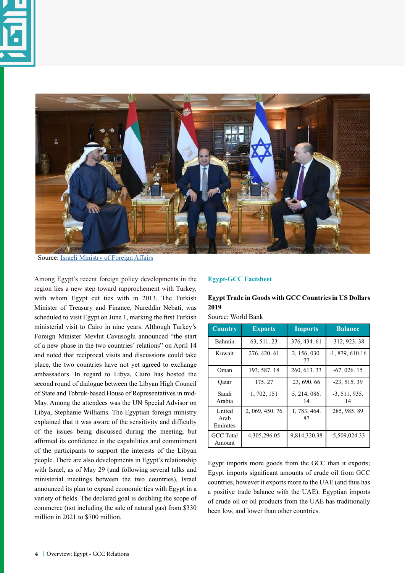



Source: [Israeli Ministry of Foreign Affairs](https://www.gov.il/en/departments/news/pm-bennett-returns-from-diplomatic-visit-to-egypt-22-mar-2022)

[Among Egypt's recent foreign policy developments in the](https://www.al-monitor.com/originals/2022/05/turkey-inches-closer-egypt) [region lies a new step toward rapprochement with Turkey,](https://www.al-monitor.com/originals/2022/05/turkey-inches-closer-egypt) [with whom Egypt cut ties with in 2013.](https://www.al-monitor.com/originals/2022/05/turkey-inches-closer-egypt) [The Turkish](https://www.al-monitor.com/originals/2022/05/turkey-inches-closer-egypt) [Minister of Treasury and Finance, Nureddin Nebati, was](https://www.al-monitor.com/originals/2022/05/turkey-inches-closer-egypt) [scheduled to visit Egypt on June 1, marking the first Turkish](https://www.al-monitor.com/originals/2022/05/turkey-inches-closer-egypt) [ministerial visit to Cairo in nine years.](https://www.al-monitor.com/originals/2022/05/turkey-inches-closer-egypt) [Although Turkey's](https://www.al-monitor.com/originals/2022/05/turkey-inches-closer-egypt) [Foreign Minister Mevlut Cavusoglu announced "the start](https://www.al-monitor.com/originals/2022/05/turkey-inches-closer-egypt) [of a new phase in the two countries' relations" on April 14](https://www.al-monitor.com/originals/2022/05/turkey-inches-closer-egypt) [and noted that reciprocal visits and discussions could take](https://www.al-monitor.com/originals/2022/05/turkey-inches-closer-egypt) [place, the two countries have not yet agreed to exchange](https://www.al-monitor.com/originals/2022/05/turkey-inches-closer-egypt) [ambas](https://www.al-monitor.com/originals/2022/05/turkey-inches-closer-egypt)sadors[. In regard to Libya, Cairo has hosted the](https://english.ahram.org.eg/NewsContent/50/1201/466396/AlAhram-Weekly/Egypt/Libya-No-sign-of-an-agreement.aspx) [second round of dialogue between the Libyan High Council](https://english.ahram.org.eg/NewsContent/50/1201/466396/AlAhram-Weekly/Egypt/Libya-No-sign-of-an-agreement.aspx) [of State and Tobruk-based House of Representatives in mid-](https://english.ahram.org.eg/NewsContent/50/1201/466396/AlAhram-Weekly/Egypt/Libya-No-sign-of-an-agreement.aspx)[May. Among the attendees was the UN Special Advisor on](https://english.ahram.org.eg/NewsContent/50/1201/466396/AlAhram-Weekly/Egypt/Libya-No-sign-of-an-agreement.aspx) [Libya, Stephanie Williams.](https://english.ahram.org.eg/NewsContent/50/1201/466396/AlAhram-Weekly/Egypt/Libya-No-sign-of-an-agreement.aspx) The Egyptian foreign ministry explained that it was aware of the sensitivity and difficulty of the issues being discussed during the meeting, but affirmed its confidence in the capabilities and commitment of the participants to support the interests of the Libyan people. There are also developments in Egypt's relationship with Israel, as of May 29 (and following several talks and ministerial meetings between the two countries), Israel announced its plan to expand economic ties with Egypt in a variety of fields. The [declared goal](https://www.gov.il/BlobFolder/reports/seder_gov190522/he/Seder_Gov_n615190522.pdf) is doubling the scope of commerce (not including the sale of natural gas) from \$330 million in 2021 to \$700 million.

## **Egypt-GCC Factsheet**

## **Egypt Trade in Goods with GCC Countries in US Dollars 2019**

| Source: World Bank |
|--------------------|
|--------------------|

| <b>Country</b>             | <b>Exports</b>  | <b>Imports</b>     | <b>Balance</b>        |
|----------------------------|-----------------|--------------------|-----------------------|
| Bahrain                    | 63, 511, 23     | 376, 434, 61       | -312, 923.38          |
| Kuwait                     | 276, 420.61     | 2, 156, 030.<br>77 | $-1, 879, 610.16$     |
| Oman                       | 193, 587. 18    | 260, 613. 33       | $-67, 026, 15$        |
| Oatar                      | 175.27          | 23, 690, 66        | $-23, 515, 39$        |
| Saudi<br>Arabia            | 1, 702, 151     | 5, 214, 086.<br>14 | $-3, 511, 935.$<br>14 |
| United<br>Arab<br>Emirates | 2, 069, 450, 76 | 1, 783, 464.<br>87 | 285, 985. 89          |
| <b>GCC</b> Total<br>Amount | 4,305,296.05    | 9,814,320.38       | -5,509,024.33         |

Egypt imports more goods from the GCC than it exports; Egypt imports significant amounts of crude oil from GCC countries, however it exports more to the UAE (and thus has a positive trade balance with the UAE). Egyptian imports of crude oil or oil products from the UAE has traditionally been low, and lower than other countries.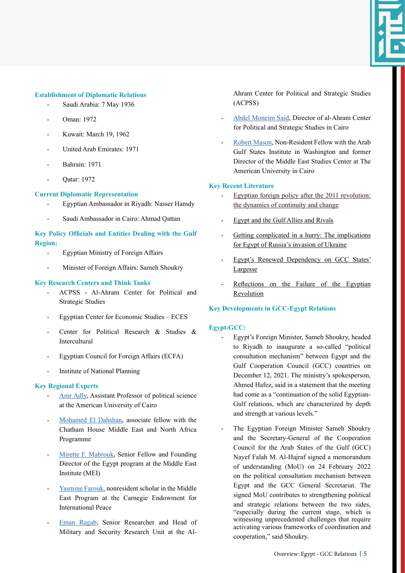

## **Establishment of Diplomatic Relations**

- Saudi Arabia: 7 May 1936
- Oman: 1972
- Kuwait: March 19, 1962
- United Arab Emirates: 1971
- Bahrain: 1971
- Oatar: 1972

## **Current Diplomatic Representation**

- Egyptian Ambassador in Riyadh: Nasser Hamdy
- Saudi Ambassador in Cairo: Ahmad Qattan

# **Key Policy Officials and Entities Dealing with the Gulf Region:**

- Egyptian Ministry of Foreign Affairs
- Minister of Foreign Affairs: Sameh Shoukry

## **Key Research Centers and Think Tanks**

- [ACPSS Al-Ahram Center for Political and](https://www.euromesco.net/institute/acpss-al-ahram-center-for-political-and-strategic-studies/) [Strategic Studies](https://www.euromesco.net/institute/acpss-al-ahram-center-for-political-and-strategic-studies/)
- Egyptian Center for Economic Studies ECES
- [Center for Political Research & Studies &](http://www.feps.edu.eg/enn/centers/cprsid/index.php) [Intercultural](http://www.feps.edu.eg/enn/centers/cprsid/index.php)
- [Egyptian Council for Foreign Affairs \(ECFA\)](https://ecfa-egypt.org)
- [Institute of National Planning](https://www.inp.edu.eg/Home/Index)

## **Key Regional Experts**

- [Amr Adly](https://www.aucegypt.edu/fac/amradly), Assistant Professor of political science at the American University of Cairo
- [Mohamed El Dahshan](https://www.chathamhouse.org/about-us/our-people/mohamed-el-dahshan), associate fellow with the Chatham House Middle East and North Africa Programme
- [Mirette F. Mabrouk,](https://www.mei.edu/profile/mirette-f-mabrouk) Senior Fellow and Founding Director of the Egypt program at the Middle East Institute (MEI)
- [Yasmine Farouk,](https://carnegieendowment.org/experts/1663) nonresident scholar in the Middle East Program at the Carnegie Endowment for International Peace
- [Eman Ragab](https://www.euromesco.net/expert/eman-ragab/), Senior Researcher and Head of Military and Security Research Unit at the Al-

Ahram Center for Political and Strategic Studies (ACPSS)

- [Abdel Moneim Said,](https://agsiw.org/associates/abdel-monem-said-aly-phd/) Director of al-Ahram Center for Political and Strategic Studies in Cairo
- [Robert Mason,](https://agsiw.org/associates/robert-mason/) Non-Resident Fellow with the Arab Gulf States Institute in Washington and former Director of the Middle East Studies Center at The American University in Cairo

## **Key Recent Literature**

- [Egyptian foreign policy after the 2011 revolution:](https://www.tandfonline.com/doi/full/10.1080/13530194.2020.1747983) [the dynamics of continuity and change](https://www.tandfonline.com/doi/full/10.1080/13530194.2020.1747983)
- [Egypt and the Gulf Allies and Rivals](https://www.chathamhouse.org/sites/default/files/CHHJ8102-Egypt-and-Gulf-RP-WEB_0.pdf)
- [Getting complicated in a hurry: The implications](https://www.mei.edu/publications/getting-complicated-hurry-implications-egypt-russias-invasion-ukraine) [for Egypt of Russia's invasion of Ukraine](https://www.mei.edu/publications/getting-complicated-hurry-implications-egypt-russias-invasion-ukraine)
- [Egypt's Renewed Dependency on GCC States'](https://agsiw.org/egypts-renewed-dependency-on-gcc-states-largesse/) [Largesse](https://agsiw.org/egypts-renewed-dependency-on-gcc-states-largesse/)
- [Reflections on the Failure of the Egyptian](https://doi.org/10.1080/19436149.2022.2030982) [Revolution](https://doi.org/10.1080/19436149.2022.2030982)

# **Key Developments in GCC-Egypt Relations**

## **Egypt-GCC:**

- Egypt's Foreign Minister, Sameh Shoukry, headed to Riyadh to inaugurate a so-called "political consultation mechanism" between Egypt and the Gulf Cooperation Council (GCC) countries on December 12, 2021. The ministry's spokesperson, Ahmed Hafez, said in a statement that the meeting had come as a "continuation of the solid Egyptian-Gulf relations, which are characterized by depth and strength at various levels."
- The Egyptian Foreign Minister Sameh Shoukry and the Secretary-General of the Cooperation Council for the Arab States of the Gulf (GCC) Nayef Falah M. Al-Hajraf signed a memorandum of understanding (MoU) on 24 February 2022 on the political consultation mechanism between Egypt and the GCC General Secretariat. The signed MoU contributes to strengthening political and strategic relations between the two sides, "especially during the current stage, which is witnessing unprecedented challenges that require activating various frameworks of coordination and cooperation," said Shoukry.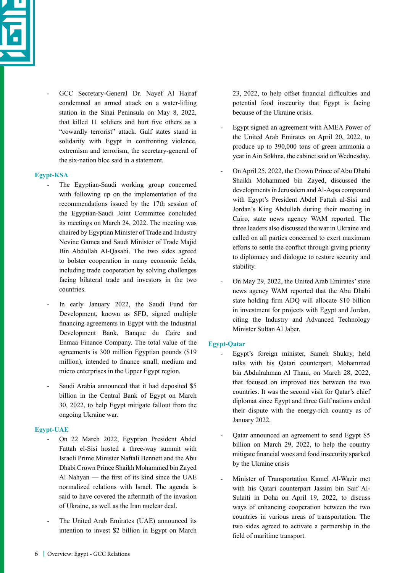

- GCC Secretary-General Dr. Nayef Al Hajraf condemned an armed attack on a water-lifting station in the Sinai Peninsula on May 8, 2022, that killed 11 soldiers and hurt five others as a "cowardly terrorist" attack. Gulf states stand in solidarity with Egypt in confronting violence, extremism and terrorism, the secretary-general of the six-nation bloc said in a statement.

# **Egypt-KSA**

- The Egyptian-Saudi working group concerned with following up on the implementation of the recommendations issued by the 17th session of the Egyptian-Saudi Joint Committee concluded its meetings on March 24, 2022. The meeting was chaired by Egyptian Minister of Trade and Industry Nevine Gamea and Saudi Minister of Trade Majid Bin Abdullah Al-Qasabi. The two sides agreed to bolster cooperation in many economic fields, including trade cooperation by solving challenges facing bilateral trade and investors in the two countries.
- In early January 2022, the Saudi Fund for Development, known as SFD, signed multiple financing agreements in Egypt with the Industrial Development Bank, Banque du Caire and Enmaa Finance Company. The total value of the agreements is 300 million Egyptian pounds (\$19 million), intended to finance small, medium and micro enterprises in the Upper Egypt region.
- Saudi Arabia announced that it had deposited \$5 billion in the Central Bank of Egypt on March 30, 2022, to help Egypt mitigate fallout from the ongoing Ukraine war.

# **Egypt-UAE**

- On 22 March 2022, Egyptian President Abdel Fattah el-Sisi hosted a three-way summit with Israeli Prime Minister Naftali Bennett and the Abu Dhabi Crown Prince Shaikh Mohammed bin Zayed Al Nahyan — the first of its kind since the UAE normalized relations with Israel. The agenda is said to have covered the aftermath of the invasion of Ukraine, as well as the Iran nuclear deal.
- The United Arab Emirates (UAE) announced its intention to invest \$2 billion in Egypt on March

23, 2022, to help offset financial difficulties and potential food insecurity that Egypt is facing because of the Ukraine crisis.

- Egypt signed an agreement with AMEA Power of the United Arab Emirates on April 20, 2022, to produce up to 390,000 tons of green ammonia a year in Ain Sokhna, the cabinet said on Wednesday.
- On April 25, 2022, the Crown Prince of Abu Dhabi Shaikh Mohammed bin Zayed, discussed the developments in Jerusalem and Al-Aqsa compound with Egypt's President Abdel Fattah al-Sisi and Jordan's King Abdullah during their meeting in Cairo, state news agency WAM reported. The three leaders also discussed the war in Ukraine and called on all parties concerned to exert maximum efforts to settle the conflict through giving priority to diplomacy and dialogue to restore security and stability.
- On May 29, 2022, the United Arab Emirates' state news agency WAM reported that the Abu Dhabi state holding firm ADQ will allocate \$10 billion in investment for projects with Egypt and Jordan, citing the Industry and Advanced Technology Minister Sultan Al Jaber.

# **Egypt-Qatar**

- Egypt's foreign minister, Sameh Shukry, held talks with his Qatari counterpart, Mohammad bin Abdulrahman Al Thani, on March 28, 2022, that focused on improved ties between the two countries. It was the second visit for Qatar's chief diplomat since Egypt and three Gulf nations ended their dispute with the energy-rich country as of January 2022.
- Qatar announced an agreement to send Egypt \$5 billion on March 29, 2022, to help the country mitigate financial woes and food insecurity sparked by the Ukraine crisis
- Minister of Transportation Kamel Al-Wazir met with his Qatari counterpart Jassim bin Saif Al-Sulaiti in Doha on April 19, 2022, to discuss ways of enhancing cooperation between the two countries in various areas of transportation. The two sides agreed to activate a partnership in the field of maritime transport.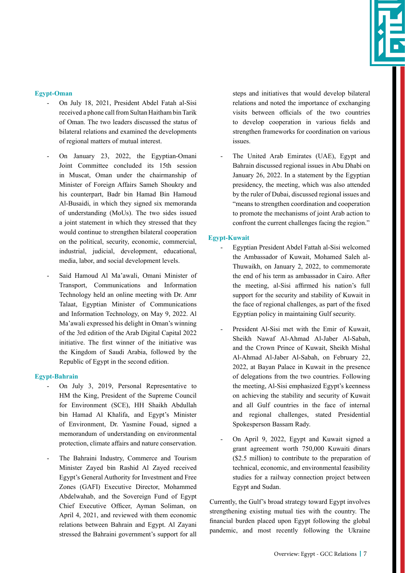

# **Egypt-Oman**

- On July 18, 2021, President Abdel Fatah al-Sisi received a phone call from Sultan Haitham bin Tarik of Oman. The two leaders discussed the status of bilateral relations and examined the developments of regional matters of mutual interest.
- On January 23, 2022, the Egyptian-Omani Joint Committee concluded its 15th session in Muscat, Oman under the chairmanship of Minister of Foreign Affairs Sameh Shoukry and his counterpart, Badr bin Hamad Bin Hamoud Al-Busaidi, in which they signed six memoranda of understanding (MoUs). The two sides issued a joint statement in which they stressed that they would continue to strengthen bilateral cooperation on the political, security, economic, commercial, industrial, judicial, development, educational, media, labor, and social development levels.
- Said Hamoud Al Ma'awali, Omani Minister of Transport, Communications and Information Technology held an online meeting with Dr. Amr Talaat, Egyptian Minister of Communications and Information Technology, on May 9, 2022. Al Ma'awali expressed his delight in Oman's winning of the 3rd edition of the Arab Digital Capital 2022 initiative. The first winner of the initiative was the Kingdom of Saudi Arabia, followed by the Republic of Egypt in the second edition.

## **Egypt-Bahrain**

- On July 3, 2019, Personal Representative to HM the King, President of the Supreme Council for Environment (SCE), HH Shaikh Abdullah bin Hamad Al Khalifa, and Egypt's Minister of Environment, Dr. Yasmine Fouad, signed a memorandum of understanding on environmental protection, climate affairs and nature conservation.
- The Bahraini Industry, Commerce and Tourism Minister Zayed bin Rashid Al Zayed received Egypt's General Authority for Investment and Free Zones (GAFI) Executive Director, Mohammed Abdelwahab, and the Sovereign Fund of Egypt Chief Executive Officer, Ayman Soliman, on April 4, 2021, and reviewed with them economic relations between Bahrain and Egypt. Al Zayani stressed the Bahraini government's support for all

steps and initiatives that would develop bilateral relations and noted the importance of exchanging visits between officials of the two countries to develop cooperation in various fields and strengthen frameworks for coordination on various issues.

The United Arab Emirates (UAE), Egypt and Bahrain discussed regional issues in Abu Dhabi on January 26, 2022. In a statement by the Egyptian presidency, the meeting, which was also attended by the ruler of Dubai, discussed regional issues and "means to strengthen coordination and cooperation to promote the mechanisms of joint Arab action to confront the current challenges facing the region."

#### **Egypt-Kuwait**

- Egyptian President Abdel Fattah al-Sisi welcomed the Ambassador of Kuwait, Mohamed Saleh al-Thuwaikh, on January 2, 2022, to commemorate the end of his term as ambassador in Cairo. After the meeting, al-Sisi affirmed his nation's full support for the security and stability of Kuwait in the face of regional challenges, as part of the fixed Egyptian policy in maintaining Gulf security.
- President Al-Sisi met with the Emir of Kuwait, Sheikh Nawaf Al-Ahmad Al-Jaber Al-Sabah, and the Crown Prince of Kuwait, Sheikh Mishal Al-Ahmad Al-Jaber Al-Sabah, on February 22, 2022, at Bayan Palace in Kuwait in the presence of delegations from the two countries. Following the meeting, Al-Sisi emphasized Egypt's keenness on achieving the stability and security of Kuwait and all Gulf countries in the face of internal and regional challenges, stated Presidential Spokesperson Bassam Rady.
- On April 9, 2022, Egypt and Kuwait signed a grant agreement worth 750,000 Kuwaiti dinars (\$2.5 million) to contribute to the preparation of technical, economic, and environmental feasibility studies for a railway connection project between Egypt and Sudan.

Currently, the Gulf's broad strategy toward Egypt involves strengthening existing mutual ties with the country. The financial burden placed upon Egypt following the global pandemic, and most recently following the Ukraine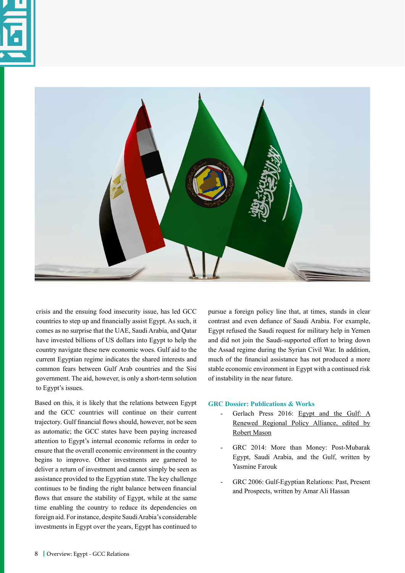



crisis and the ensuing food insecurity issue, has led GCC countries to step up and financially assist Egypt. As such, it comes as no surprise that the UAE, Saudi Arabia, and Qatar have invested billions of US dollars into Egypt to help the country navigate these new economic woes. Gulf aid to the current Egyptian regime indicates the shared interests and common fears between Gulf Arab countries and the Sisi government. The aid, however, is only a short-term solution to Egypt's issues.

Based on this, it is likely that the relations between Egypt and the GCC countries will continue on their current trajectory. Gulf financial flows should, however, not be seen as automatic; the GCC states have been paying increased attention to Egypt's internal economic reforms in order to ensure that the overall economic environment in the country begins to improve. Other investments are garnered to deliver a return of investment and cannot simply be seen as assistance provided to the Egyptian state. The key challenge continues to be finding the right balance between financial flows that ensure the stability of Egypt, while at the same time enabling the country to reduce its dependencies on foreign aid. For instance, despite Saudi Arabia's considerable investments in Egypt over the years, Egypt has continued to

pursue a foreign policy line that, at times, stands in clear contrast and even defiance of Saudi Arabia. For example, Egypt refused the Saudi request for military help in Yemen and did not join the Saudi-supported effort to bring down the Assad regime during the Syrian Civil War. In addition, much of the financial assistance has not produced a more stable economic environment in Egypt with a continued risk of instability in the near future.

## **GRC Dossier: Publications & Works**

- Gerlach Press 2016: [Egypt and the Gulf: A](https://gulfresearchmeeting.net/publication/44) [Renewed Regional Policy Alliance, edited by](https://gulfresearchmeeting.net/publication/44) [Robert Mason](https://gulfresearchmeeting.net/publication/44)
- GRC 2014: More than Money: Post-Mubarak Egypt, Saudi Arabia, and the Gulf, written by Yasmine Farouk
- GRC 2006: Gulf-Egyptian Relations: Past, Present and Prospects, written by Amar Ali Hassan